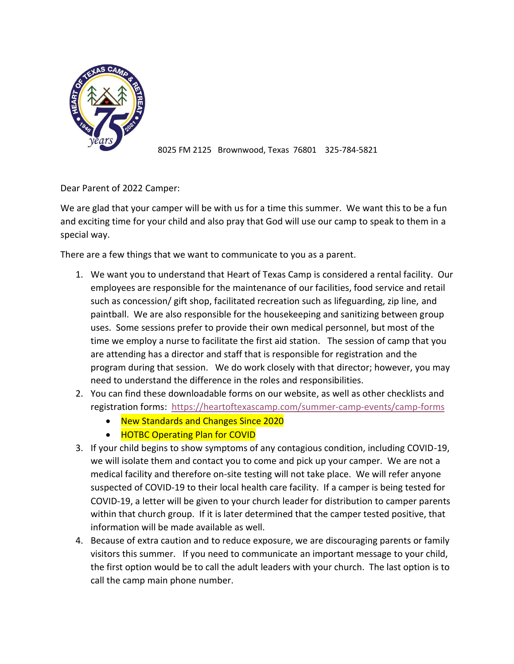

8025 FM 2125 Brownwood, Texas 76801 325-784-5821

Dear Parent of 2022 Camper:

We are glad that your camper will be with us for a time this summer. We want this to be a fun and exciting time for your child and also pray that God will use our camp to speak to them in a special way.

There are a few things that we want to communicate to you as a parent.

- 1. We want you to understand that Heart of Texas Camp is considered a rental facility. Our employees are responsible for the maintenance of our facilities, food service and retail such as concession/ gift shop, facilitated recreation such as lifeguarding, zip line, and paintball. We are also responsible for the housekeeping and sanitizing between group uses. Some sessions prefer to provide their own medical personnel, but most of the time we employ a nurse to facilitate the first aid station. The session of camp that you are attending has a director and staff that is responsible for registration and the program during that session. We do work closely with that director; however, you may need to understand the difference in the roles and responsibilities.
- 2. You can find these downloadable forms on our website, as well as other checklists and registration forms: <https://heartoftexascamp.com/summer-camp-events/camp-forms>
	- New Standards and Changes Since 2020
	- HOTBC Operating Plan for COVID
- 3. If your child begins to show symptoms of any contagious condition, including COVID-19, we will isolate them and contact you to come and pick up your camper. We are not a medical facility and therefore on-site testing will not take place. We will refer anyone suspected of COVID-19 to their local health care facility. If a camper is being tested for COVID-19, a letter will be given to your church leader for distribution to camper parents within that church group. If it is later determined that the camper tested positive, that information will be made available as well.
- 4. Because of extra caution and to reduce exposure, we are discouraging parents or family visitors this summer. If you need to communicate an important message to your child, the first option would be to call the adult leaders with your church. The last option is to call the camp main phone number.